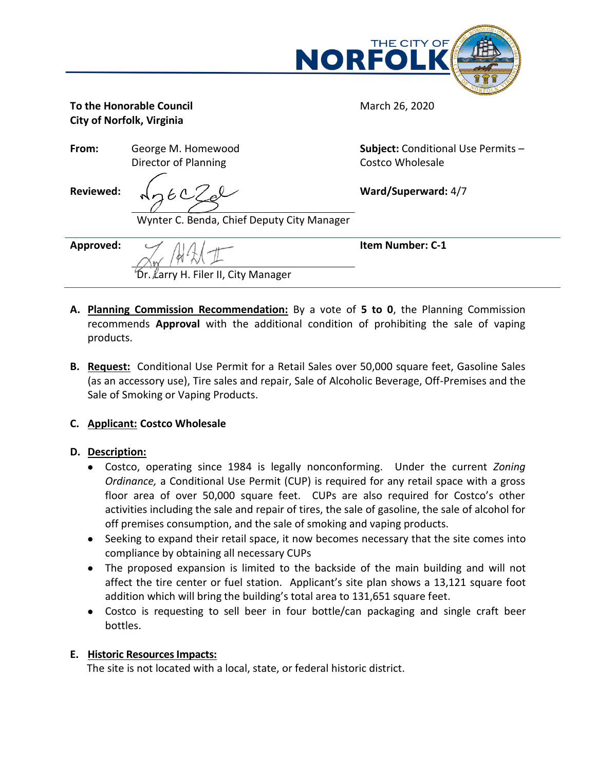

March 26, 2020

**To the Honorable Council City of Norfolk, Virginia**

**From:** George M. Homewood Director of Planning

**Subject:** Conditional Use Permits – Costco Wholesale

**Ward/Superward:** 4/7

**Reviewed:**

Wynter C. Benda, Chief Deputy City Manager

Dr. Larry H. Filer II, City Manager

**Approved:**

**Item Number: C-1**

- **A. Planning Commission Recommendation:** By a vote of **5 to 0**, the Planning Commission recommends **Approval** with the additional condition of prohibiting the sale of vaping products.
- **B. Request:** Conditional Use Permit for a Retail Sales over 50,000 square feet, Gasoline Sales (as an accessory use), Tire sales and repair, Sale of Alcoholic Beverage, Off-Premises and the Sale of Smoking or Vaping Products.

# **C. Applicant: Costco Wholesale**

# **D. Description:**

- Costco, operating since 1984 is legally nonconforming. Under the current *Zoning Ordinance,* a Conditional Use Permit (CUP) is required for any retail space with a gross floor area of over 50,000 square feet. CUPs are also required for Costco's other activities including the sale and repair of tires, the sale of gasoline, the sale of alcohol for off premises consumption, and the sale of smoking and vaping products.
- Seeking to expand their retail space, it now becomes necessary that the site comes into compliance by obtaining all necessary CUPs
- The proposed expansion is limited to the backside of the main building and will not affect the tire center or fuel station. Applicant's site plan shows a 13,121 square foot addition which will bring the building's total area to 131,651 square feet.
- Costco is requesting to sell beer in four bottle/can packaging and single craft beer bottles.

# **E. Historic Resources Impacts:**

The site is not located with a local, state, or federal historic district.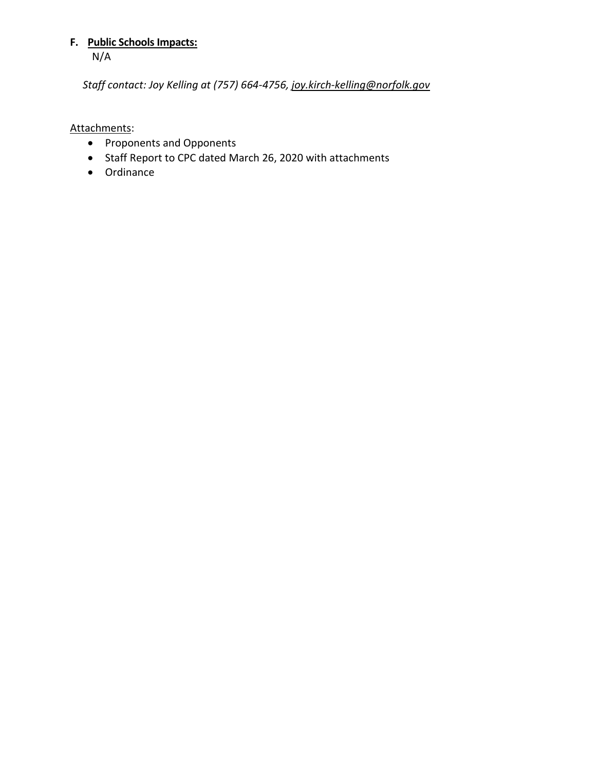# **F. Public Schools Impacts:** N/A

*Staff contact: Joy Kelling at (757) 664-4756[, joy.kirch-kelling@norfolk.gov](mailto:joy.kirch-kelling@norfolk.gov)* 

# Attachments:

- Proponents and Opponents
- Staff Report to CPC dated March 26, 2020 with attachments
- Ordinance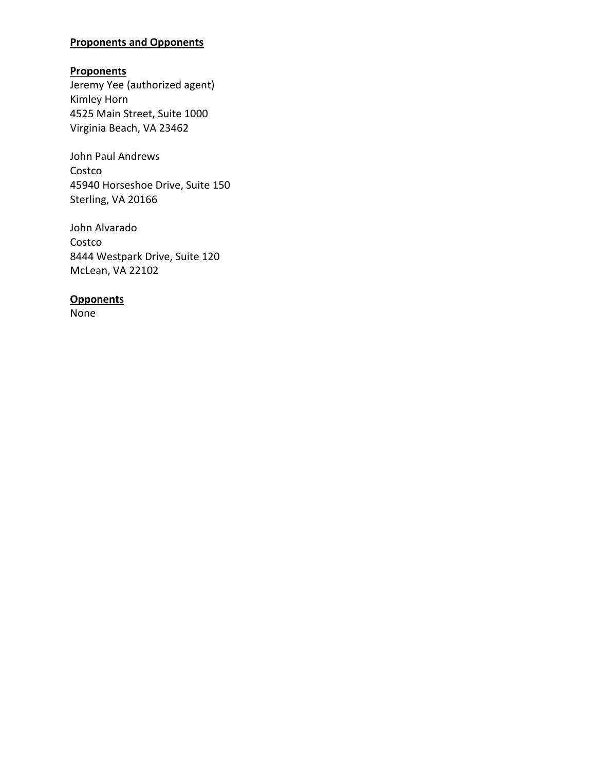# **Proponents and Opponents**

# **Proponents**

Jeremy Yee (authorized agent) Kimley Horn 4525 Main Street, Suite 1000 Virginia Beach, VA 23462

John Paul Andrews Costco 45940 Horseshoe Drive, Suite 150 Sterling, VA 20166

John Alvarado Costco 8444 Westpark Drive, Suite 120 McLean, VA 22102

# **Opponents**

None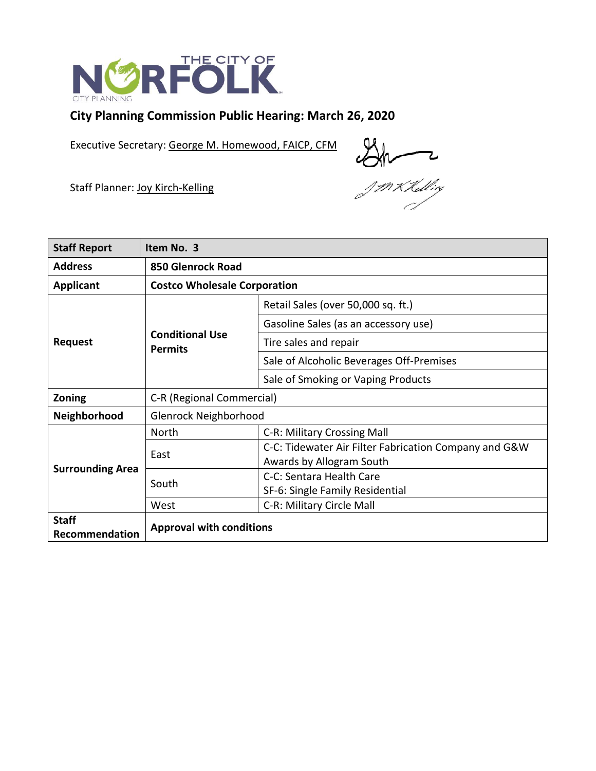

# **City Planning Commission Public Hearing: March 26, 2020**

Executive Secretary: George M. Homewood, FAICP, CFM

 $\frac{1}{\sqrt{\frac{1}{1+\frac{1}{1+\frac{1}{1+\frac{1}{1+\frac{1}{1+\frac{1}{1+\frac{1}{1+\frac{1}{1+\frac{1}{1+\frac{1}{1+\frac{1}{1+\frac{1}{1+\frac{1}{1+\frac{1}{1+\frac{1}{1+\frac{1}{1+\frac{1}{1+\frac{1}{1+\frac{1}{1+\frac{1}{1+\frac{1}{1+\frac{1}{1+\frac{1}{1+\frac{1}{1+\frac{1}{1+\frac{1}{1+\frac{1}{1+\frac{1}{1+\frac{1}{1+\frac{1}{1+\frac{1}{1+\frac{1}{1+\frac{1}{1+\frac{1}{1+\frac{1}{1+\frac{$ 

Staff Planner: Joy Kirch-Kelling

| <b>Staff Report</b>     | Item No. 3                               |                                                       |
|-------------------------|------------------------------------------|-------------------------------------------------------|
| <b>Address</b>          | 850 Glenrock Road                        |                                                       |
| <b>Applicant</b>        | <b>Costco Wholesale Corporation</b>      |                                                       |
| <b>Request</b>          | <b>Conditional Use</b><br><b>Permits</b> | Retail Sales (over 50,000 sq. ft.)                    |
|                         |                                          | Gasoline Sales (as an accessory use)                  |
|                         |                                          | Tire sales and repair                                 |
|                         |                                          | Sale of Alcoholic Beverages Off-Premises              |
|                         |                                          | Sale of Smoking or Vaping Products                    |
| Zoning                  | C-R (Regional Commercial)                |                                                       |
| Neighborhood            | Glenrock Neighborhood                    |                                                       |
| <b>Surrounding Area</b> | <b>North</b>                             | C-R: Military Crossing Mall                           |
|                         | East                                     | C-C: Tidewater Air Filter Fabrication Company and G&W |
|                         |                                          | Awards by Allogram South                              |
|                         | South                                    | C-C: Sentara Health Care                              |
|                         |                                          | SF-6: Single Family Residential                       |
|                         | West                                     | C-R: Military Circle Mall                             |
| <b>Staff</b>            | <b>Approval with conditions</b>          |                                                       |
| Recommendation          |                                          |                                                       |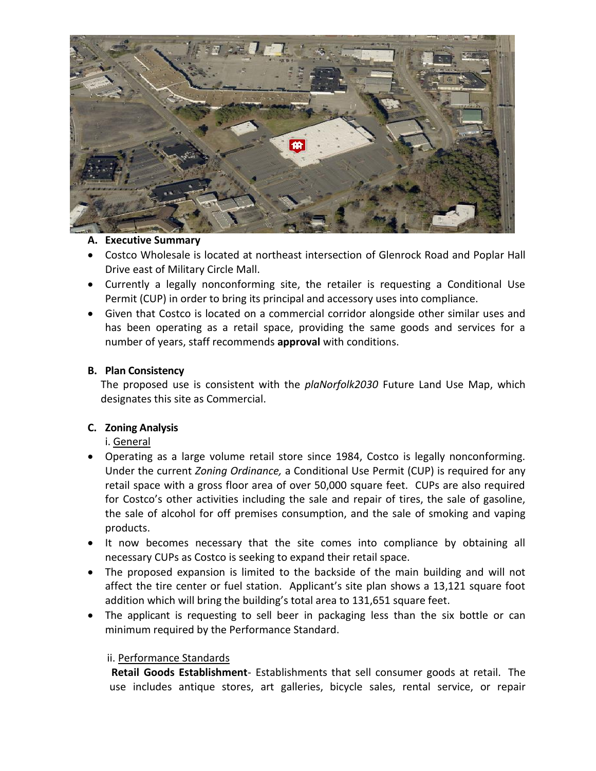

## **A. Executive Summary**

- Costco Wholesale is located at northeast intersection of Glenrock Road and Poplar Hall Drive east of Military Circle Mall.
- Currently a legally nonconforming site, the retailer is requesting a Conditional Use Permit (CUP) in order to bring its principal and accessory uses into compliance.
- Given that Costco is located on a commercial corridor alongside other similar uses and has been operating as a retail space, providing the same goods and services for a number of years, staff recommends **approval** with conditions.

## **B. Plan Consistency**

The proposed use is consistent with the *plaNorfolk2030* Future Land Use Map, which designates this site as Commercial.

## **C. Zoning Analysis**

i. General

- Operating as a large volume retail store since 1984, Costco is legally nonconforming. Under the current *Zoning Ordinance,* a Conditional Use Permit (CUP) is required for any retail space with a gross floor area of over 50,000 square feet. CUPs are also required for Costco's other activities including the sale and repair of tires, the sale of gasoline, the sale of alcohol for off premises consumption, and the sale of smoking and vaping products.
- It now becomes necessary that the site comes into compliance by obtaining all necessary CUPs as Costco is seeking to expand their retail space.
- The proposed expansion is limited to the backside of the main building and will not affect the tire center or fuel station. Applicant's site plan shows a 13,121 square foot addition which will bring the building's total area to 131,651 square feet.
- The applicant is requesting to sell beer in packaging less than the six bottle or can minimum required by the Performance Standard.

## ii. Performance Standards

 **Retail Goods Establishment**- Establishments that sell consumer goods at retail. The use includes antique stores, art galleries, bicycle sales, rental service, or repair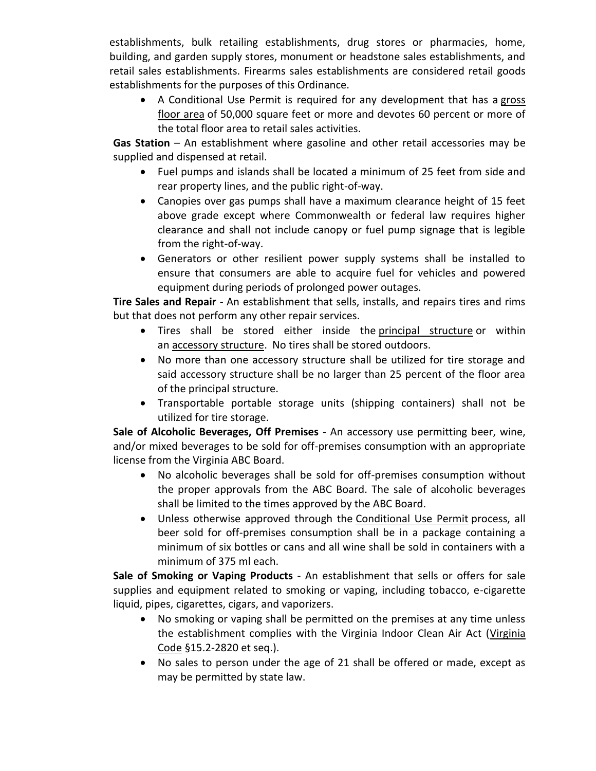establishments, bulk retailing establishments, drug stores or pharmacies, home, building, and garden supply stores, monument or headstone sales establishments, and retail sales establishments. Firearms sales establishments are considered retail goods establishments for the purposes of this Ordinance.

• A Conditional Use Permit is required for any development that has a gross [floor area](https://www.norfolkva.gov/NorfolkZoningOrdinance/Content/Norfolk-ZO/8_3_Definitions_and_Rules_of_Measurement.htm#GROSS_FLOOR_AREA) of 50,000 square feet or more and devotes 60 percent or more of the total floor area to retail sales activities.

**Gas Station** – An establishment where gasoline and other retail accessories may be supplied and dispensed at retail.

- Fuel pumps and islands shall be located a minimum of 25 feet from side and rear property lines, and the public right-of-way.
- Canopies over gas pumps shall have a maximum clearance height of 15 feet above grade except where Commonwealth or federal law requires higher clearance and shall not include canopy or fuel pump signage that is legible from the right-of-way.
- Generators or other resilient power supply systems shall be installed to ensure that consumers are able to acquire fuel for vehicles and powered equipment during periods of prolonged power outages.

**Tire Sales and Repair** - An establishment that sells, installs, and repairs tires and rims but that does not perform any other repair services.

- Tires shall be stored either inside the [principal structure](https://www.norfolkva.gov/NorfolkZoningOrdinance/Content/Norfolk-ZO/8_3_Definitions_and_Rules_of_Measurement.htm#PRINCIPAL_STRUCTURE) or within an [accessory structure.](https://www.norfolkva.gov/NorfolkZoningOrdinance/Content/Norfolk-ZO/8_3_Definitions_and_Rules_of_Measurement.htm#ACCESSORY_STRUCTURE) No tires shall be stored outdoors.
- No more than one accessory structure shall be utilized for tire storage and said accessory structure shall be no larger than 25 percent of the floor area of the principal structure.
- Transportable portable storage units (shipping containers) shall not be utilized for tire storage.

**Sale of Alcoholic Beverages, Off Premises** - An accessory use permitting beer, wine, and/or mixed beverages to be sold for off-premises consumption with an appropriate license from the Virginia ABC Board.

- No alcoholic beverages shall be sold for off-premises consumption without the proper approvals from the ABC Board. The sale of alcoholic beverages shall be limited to the times approved by the ABC Board.
- Unless otherwise approved through the [Conditional Use Permit](https://www.norfolkva.gov/NorfolkZoningOrdinance/Content/Norfolk-ZO/2_4_Application_Specific_Procedures.htm#CUP) process, all beer sold for off-premises consumption shall be in a package containing a minimum of six bottles or cans and all wine shall be sold in containers with a minimum of 375 ml each.

**Sale of Smoking or Vaping Products** - An establishment that sells or offers for sale supplies and equipment related to smoking or vaping, including tobacco, e-cigarette liquid, pipes, cigarettes, cigars, and vaporizers.

- No smoking or vaping shall be permitted on the premises at any time unless the establishment complies with the Virginia Indoor Clean Air Act [\(Virginia](https://www.norfolkva.gov/NorfolkZoningOrdinance/Content/Norfolk-ZO/8_3_Definitions_and_Rules_of_Measurement.htm#CODE_OF_VIRGINIA)  [Code](https://www.norfolkva.gov/NorfolkZoningOrdinance/Content/Norfolk-ZO/8_3_Definitions_and_Rules_of_Measurement.htm#CODE_OF_VIRGINIA) §15.2-2820 et seq.).
- No sales to person under the age of 21 shall be offered or made, except as may be permitted by state law.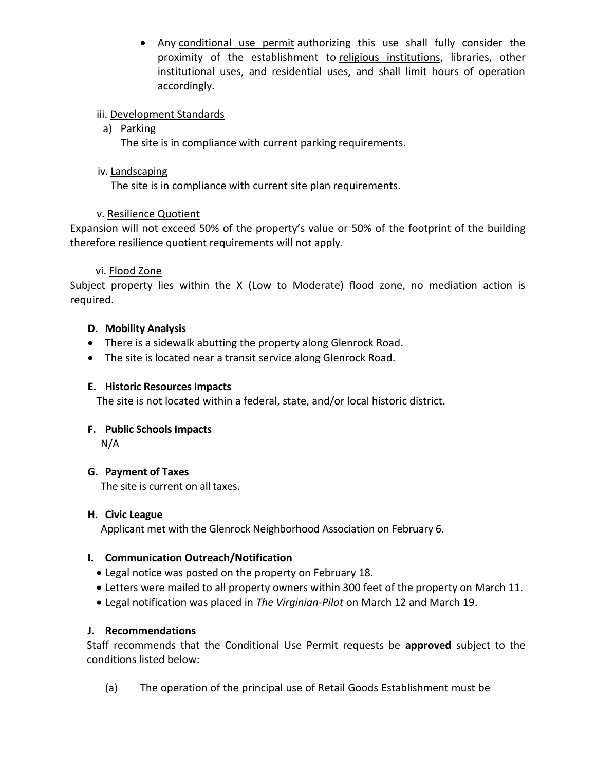• Any [conditional use permit](https://www.norfolkva.gov/NorfolkZoningOrdinance/Content/Norfolk-ZO/2_4_Application_Specific_Procedures.htm#CUP) authorizing this use shall fully consider the proximity of the establishment to [religious institutions,](https://www.norfolkva.gov/NorfolkZoningOrdinance/Content/Norfolk-ZO/4_2_Performance_Standards_for_Principal.htm#4.2.3.E(2)(p)) libraries, other institutional uses, and residential uses, and shall limit hours of operation accordingly.

# iii. Development Standards

# a) Parking

The site is in compliance with current parking requirements.

## iv. Landscaping

The site is in compliance with current site plan requirements.

# v. Resilience Quotient

Expansion will not exceed 50% of the property's value or 50% of the footprint of the building therefore resilience quotient requirements will not apply.

## vi. Flood Zone

Subject property lies within the X (Low to Moderate) flood zone, no mediation action is required.

# **D. Mobility Analysis**

- There is a sidewalk abutting the property along Glenrock Road.
- The site is located near a transit service along Glenrock Road.

## **E. Historic Resources Impacts**

The site is not located within a federal, state, and/or local historic district.

## **F. Public Schools Impacts**

N/A

## **G. Payment of Taxes**

The site is current on all taxes.

## **H. Civic League**

Applicant met with the Glenrock Neighborhood Association on February 6.

## **I. Communication Outreach/Notification**

- Legal notice was posted on the property on February 18.
- Letters were mailed to all property owners within 300 feet of the property on March 11.
- Legal notification was placed in *The Virginian-Pilot* on March 12 and March 19.

## **J. Recommendations**

Staff recommends that the Conditional Use Permit requests be **approved** subject to the conditions listed below:

(a) The operation of the principal use of Retail Goods Establishment must be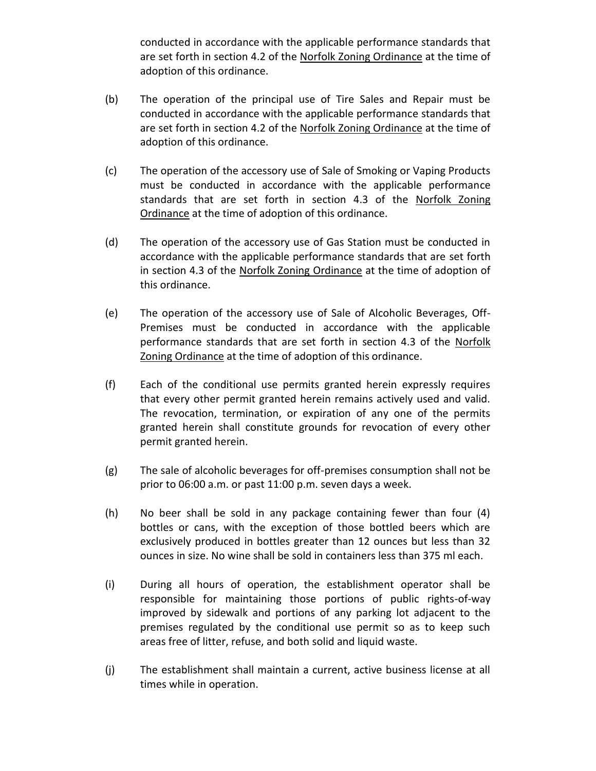conducted in accordance with the applicable performance standards that are set forth in section 4.2 of the Norfolk Zoning Ordinance at the time of adoption of this ordinance.

- (b) The operation of the principal use of Tire Sales and Repair must be conducted in accordance with the applicable performance standards that are set forth in section 4.2 of the Norfolk Zoning Ordinance at the time of adoption of this ordinance.
- (c) The operation of the accessory use of Sale of Smoking or Vaping Products must be conducted in accordance with the applicable performance standards that are set forth in section 4.3 of the Norfolk Zoning Ordinance at the time of adoption of this ordinance.
- (d) The operation of the accessory use of Gas Station must be conducted in accordance with the applicable performance standards that are set forth in section 4.3 of the Norfolk Zoning Ordinance at the time of adoption of this ordinance.
- (e) The operation of the accessory use of Sale of Alcoholic Beverages, Off-Premises must be conducted in accordance with the applicable performance standards that are set forth in section 4.3 of the Norfolk Zoning Ordinance at the time of adoption of this ordinance.
- (f) Each of the conditional use permits granted herein expressly requires that every other permit granted herein remains actively used and valid. The revocation, termination, or expiration of any one of the permits granted herein shall constitute grounds for revocation of every other permit granted herein.
- (g) The sale of alcoholic beverages for off-premises consumption shall not be prior to 06:00 a.m. or past 11:00 p.m. seven days a week.
- (h) No beer shall be sold in any package containing fewer than four (4) bottles or cans, with the exception of those bottled beers which are exclusively produced in bottles greater than 12 ounces but less than 32 ounces in size. No wine shall be sold in containers less than 375 ml each.
- (i) During all hours of operation, the establishment operator shall be responsible for maintaining those portions of public rights-of-way improved by sidewalk and portions of any parking lot adjacent to the premises regulated by the conditional use permit so as to keep such areas free of litter, refuse, and both solid and liquid waste.
- (j) The establishment shall maintain a current, active business license at all times while in operation.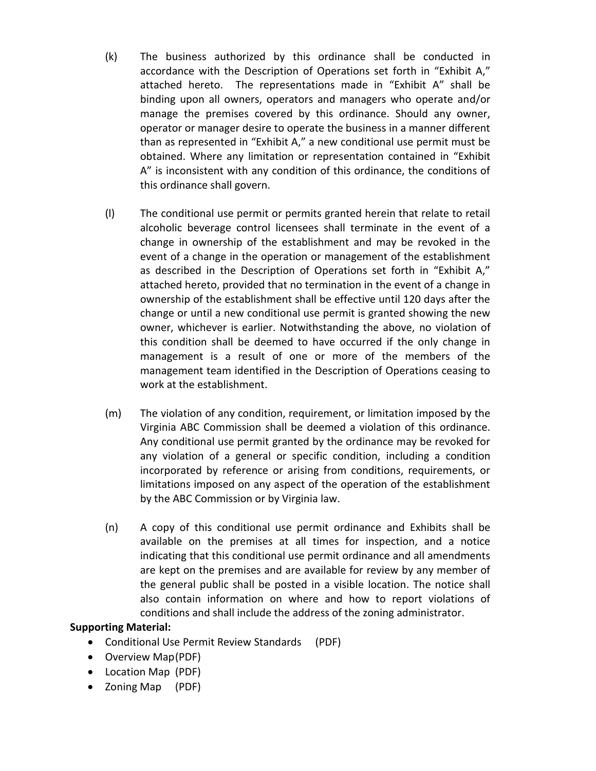- (k) The business authorized by this ordinance shall be conducted in accordance with the Description of Operations set forth in "Exhibit A," attached hereto. The representations made in "Exhibit A" shall be binding upon all owners, operators and managers who operate and/or manage the premises covered by this ordinance. Should any owner, operator or manager desire to operate the business in a manner different than as represented in "Exhibit A," a new conditional use permit must be obtained. Where any limitation or representation contained in "Exhibit A" is inconsistent with any condition of this ordinance, the conditions of this ordinance shall govern.
- (l) The conditional use permit or permits granted herein that relate to retail alcoholic beverage control licensees shall terminate in the event of a change in ownership of the establishment and may be revoked in the event of a change in the operation or management of the establishment as described in the Description of Operations set forth in "Exhibit A," attached hereto, provided that no termination in the event of a change in ownership of the establishment shall be effective until 120 days after the change or until a new conditional use permit is granted showing the new owner, whichever is earlier. Notwithstanding the above, no violation of this condition shall be deemed to have occurred if the only change in management is a result of one or more of the members of the management team identified in the Description of Operations ceasing to work at the establishment.
- (m) The violation of any condition, requirement, or limitation imposed by the Virginia ABC Commission shall be deemed a violation of this ordinance. Any conditional use permit granted by the ordinance may be revoked for any violation of a general or specific condition, including a condition incorporated by reference or arising from conditions, requirements, or limitations imposed on any aspect of the operation of the establishment by the ABC Commission or by Virginia law.
- (n) A copy of this conditional use permit ordinance and Exhibits shall be available on the premises at all times for inspection, and a notice indicating that this conditional use permit ordinance and all amendments are kept on the premises and are available for review by any member of the general public shall be posted in a visible location. The notice shall also contain information on where and how to report violations of conditions and shall include the address of the zoning administrator.

## **Supporting Material:**

- Conditional Use Permit Review Standards (PDF)
- Overview Map(PDF)
- Location Map (PDF)
- Zoning Map (PDF)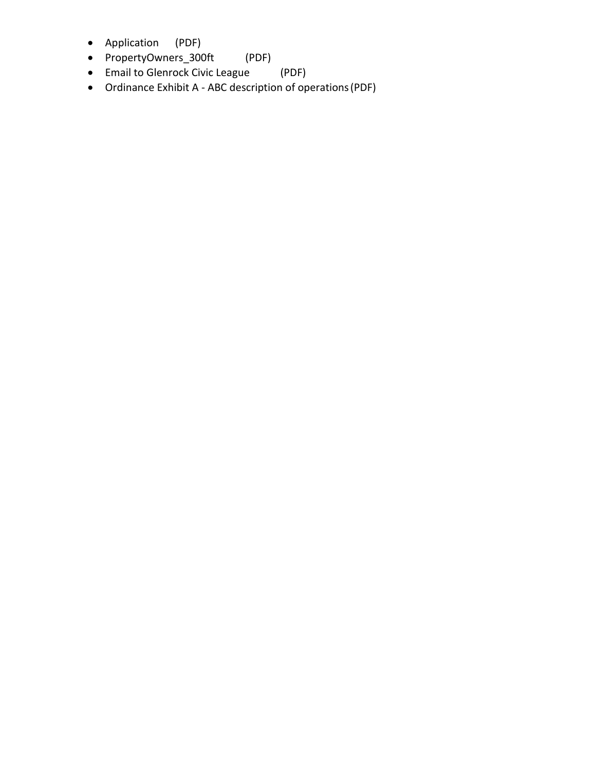- Application (PDF)
- PropertyOwners\_300ft (PDF)
- Email to Glenrock Civic League (PDF)
- Ordinance Exhibit A ABC description of operations(PDF)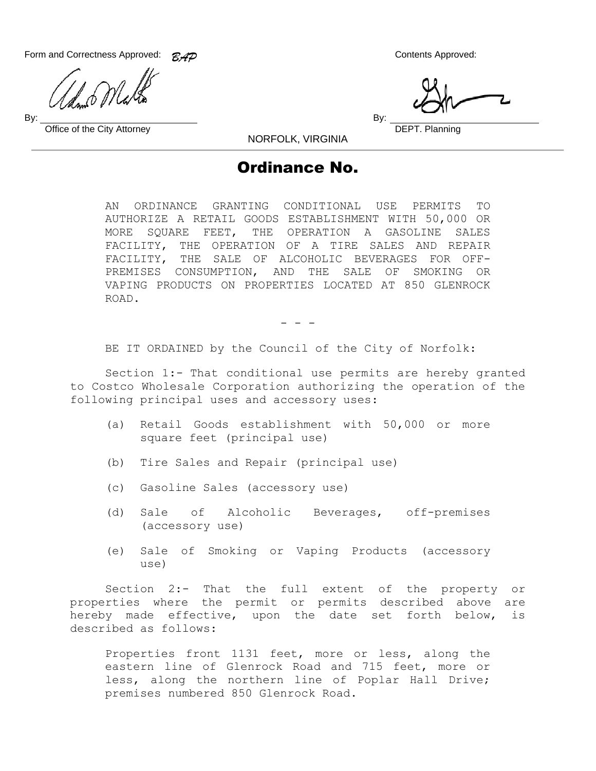Form and Correctness Approved:  $\mathcal{RAD}$  Contents Approved:

By: By:

Office of the City Attorney **DEPT.** Planning

NORFOLK, VIRGINIA

# Ordinance No.

AN ORDINANCE GRANTING CONDITIONAL USE PERMITS TO AUTHORIZE A RETAIL GOODS ESTABLISHMENT WITH 50,000 OR MORE SQUARE FEET, THE OPERATION A GASOLINE SALES FACILITY, THE OPERATION OF A TIRE SALES AND REPAIR FACILITY, THE SALE OF ALCOHOLIC BEVERAGES FOR OFF-PREMISES CONSUMPTION, AND THE SALE OF SMOKING OR VAPING PRODUCTS ON PROPERTIES LOCATED AT 850 GLENROCK ROAD.

- - -

BE IT ORDAINED by the Council of the City of Norfolk:

Section 1:- That conditional use permits are hereby granted to Costco Wholesale Corporation authorizing the operation of the following principal uses and accessory uses:

- (a) Retail Goods establishment with 50,000 or more square feet (principal use)
- (b) Tire Sales and Repair (principal use)
- (c) Gasoline Sales (accessory use)
- (d) Sale of Alcoholic Beverages, off-premises (accessory use)
- (e) Sale of Smoking or Vaping Products (accessory use)

Section 2:- That the full extent of the property or properties where the permit or permits described above are hereby made effective, upon the date set forth below, is described as follows:

Properties front 1131 feet, more or less, along the eastern line of Glenrock Road and 715 feet, more or less, along the northern line of Poplar Hall Drive; premises numbered 850 Glenrock Road.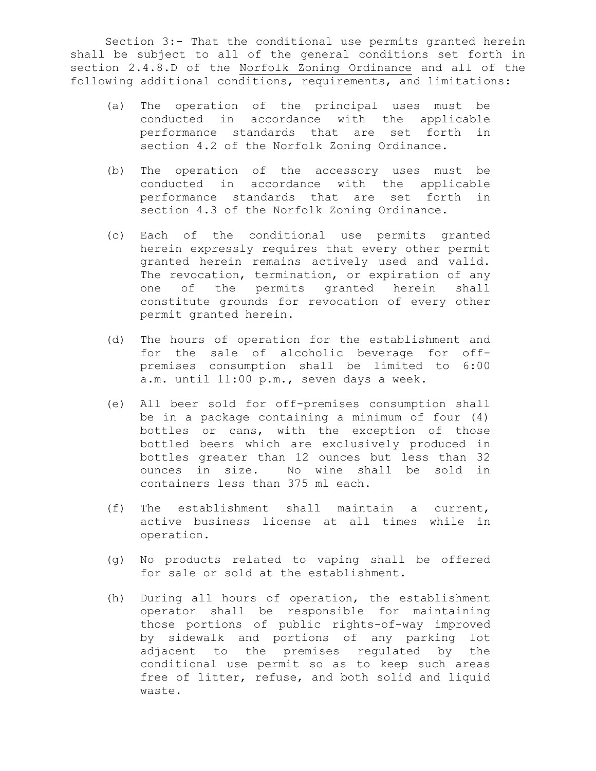Section 3:- That the conditional use permits granted herein shall be subject to all of the general conditions set forth in section 2.4.8.D of the Norfolk Zoning Ordinance and all of the following additional conditions, requirements, and limitations:

- (a) The operation of the principal uses must be conducted in accordance with the applicable performance standards that are set forth in section 4.2 of the Norfolk Zoning Ordinance.
- (b) The operation of the accessory uses must be conducted in accordance with the applicable performance standards that are set forth in section 4.3 of the Norfolk Zoning Ordinance.
- (c) Each of the conditional use permits granted herein expressly requires that every other permit granted herein remains actively used and valid. The revocation, termination, or expiration of any one of the permits granted herein shall constitute grounds for revocation of every other permit granted herein.
- (d) The hours of operation for the establishment and for the sale of alcoholic beverage for offpremises consumption shall be limited to 6:00 a.m. until 11:00 p.m., seven days a week.
- (e) All beer sold for off-premises consumption shall be in a package containing a minimum of four (4) bottles or cans, with the exception of those bottled beers which are exclusively produced in bottles greater than 12 ounces but less than 32 ounces in size. No wine shall be sold in containers less than 375 ml each.
- (f) The establishment shall maintain a current, active business license at all times while in operation.
- (g) No products related to vaping shall be offered for sale or sold at the establishment.
- (h) During all hours of operation, the establishment operator shall be responsible for maintaining those portions of public rights-of-way improved by sidewalk and portions of any parking lot adjacent to the premises regulated by the conditional use permit so as to keep such areas free of litter, refuse, and both solid and liquid waste.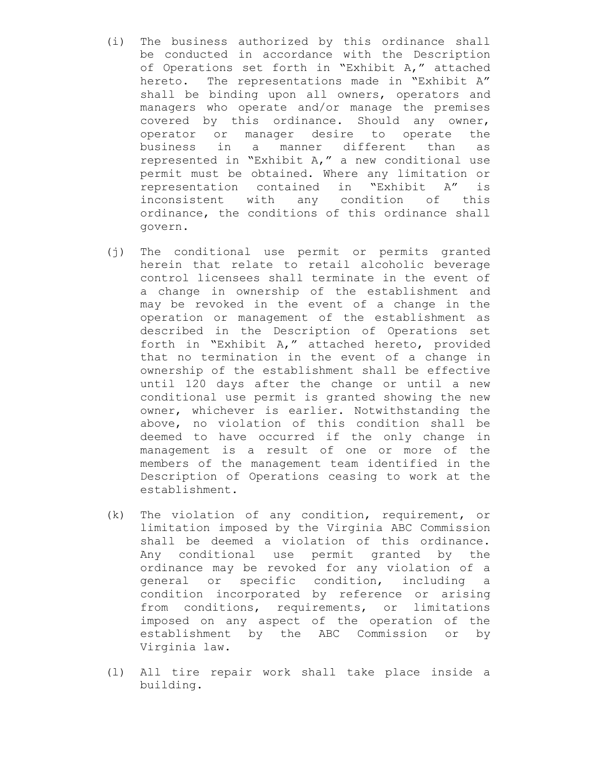- (i) The business authorized by this ordinance shall be conducted in accordance with the Description of Operations set forth in "Exhibit A," attached hereto. The representations made in "Exhibit A" shall be binding upon all owners, operators and managers who operate and/or manage the premises covered by this ordinance. Should any owner, operator or manager desire to operate the business in a manner different than as represented in "Exhibit A," a new conditional use permit must be obtained. Where any limitation or representation contained in "Exhibit A" is inconsistent with any condition of this ordinance, the conditions of this ordinance shall govern.
- (j) The conditional use permit or permits granted herein that relate to retail alcoholic beverage control licensees shall terminate in the event of a change in ownership of the establishment and may be revoked in the event of a change in the operation or management of the establishment as described in the Description of Operations set forth in "Exhibit A," attached hereto, provided that no termination in the event of a change in ownership of the establishment shall be effective until 120 days after the change or until a new conditional use permit is granted showing the new owner, whichever is earlier. Notwithstanding the above, no violation of this condition shall be deemed to have occurred if the only change in management is a result of one or more of the members of the management team identified in the Description of Operations ceasing to work at the establishment.
- (k) The violation of any condition, requirement, or limitation imposed by the Virginia ABC Commission shall be deemed a violation of this ordinance. Any conditional use permit granted by the ordinance may be revoked for any violation of a general or specific condition, including a condition incorporated by reference or arising from conditions, requirements, or limitations imposed on any aspect of the operation of the establishment by the ABC Commission or by Virginia law.
- (l) All tire repair work shall take place inside a building.